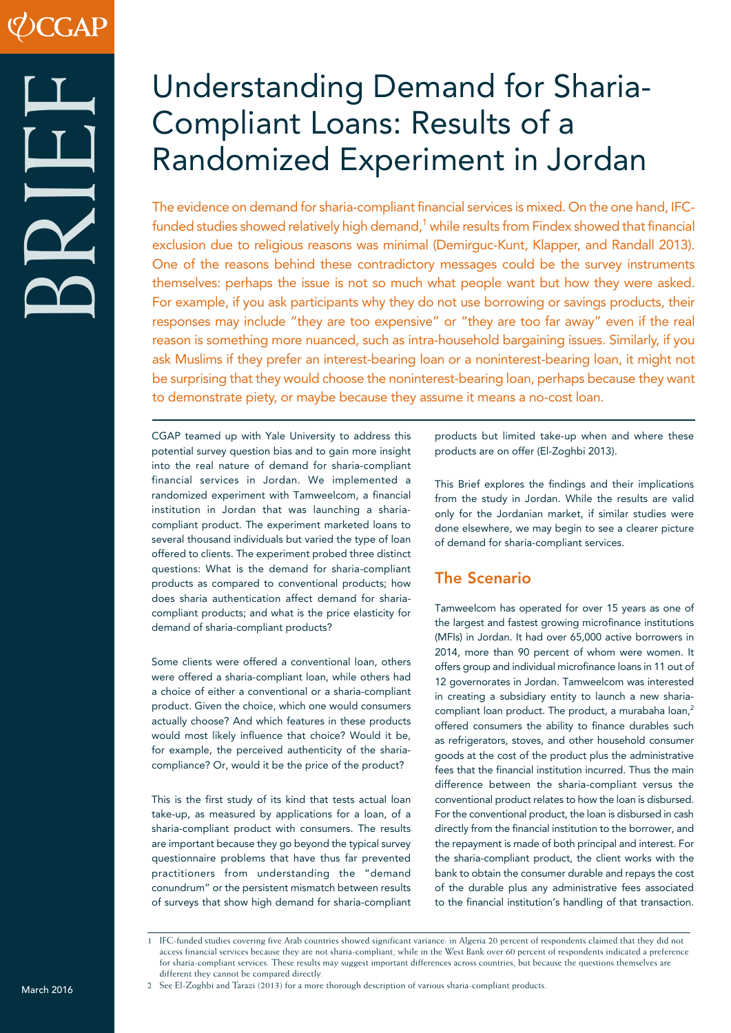# Understanding Demand for Sharia-Compliant Loans: Results of a Randomized Experiment in Jordan

The evidence on demand for sharia-compliant financial services is mixed. On the one hand, IFCfunded studies showed relatively high demand, $1$  while results from Findex showed that financial exclusion due to religious reasons was minimal (Demirguc-Kunt, Klapper, and Randall 2013). One of the reasons behind these contradictory messages could be the survey instruments themselves: perhaps the issue is not so much what people want but how they were asked. For example, if you ask participants why they do not use borrowing or savings products, their responses may include "they are too expensive" or "they are too far away" even if the real reason is something more nuanced, such as intra-household bargaining issues. Similarly, if you ask Muslims if they prefer an interest-bearing loan or a noninterest-bearing loan, it might not be surprising that they would choose the noninterest-bearing loan, perhaps because they want to demonstrate piety, or maybe because they assume it means a no-cost loan.

CGAP teamed up with Yale University to address this potential survey question bias and to gain more insight into the real nature of demand for sharia-compliant financial services in Jordan. We implemented a randomized experiment with Tamweelcom, a financial institution in Jordan that was launching a shariacompliant product. The experiment marketed loans to several thousand individuals but varied the type of loan offered to clients. The experiment probed three distinct questions: What is the demand for sharia-compliant products as compared to conventional products; how does sharia authentication affect demand for shariacompliant products; and what is the price elasticity for demand of sharia-compliant products?

Some clients were offered a conventional loan, others were offered a sharia-compliant loan, while others had a choice of either a conventional or a sharia-compliant product. Given the choice, which one would consumers actually choose? And which features in these products would most likely influence that choice? Would it be, for example, the perceived authenticity of the shariacompliance? Or, would it be the price of the product?

This is the first study of its kind that tests actual loan take-up, as measured by applications for a loan, of a sharia-compliant product with consumers. The results are important because they go beyond the typical survey questionnaire problems that have thus far prevented practitioners from understanding the "demand conundrum" or the persistent mismatch between results of surveys that show high demand for sharia-compliant products but limited take-up when and where these products are on offer (El-Zoghbi 2013).

This Brief explores the findings and their implications from the study in Jordan. While the results are valid only for the Jordanian market, if similar studies were done elsewhere, we may begin to see a clearer picture of demand for sharia-compliant services.

# The Scenario

Tamweelcom has operated for over 15 years as one of the largest and fastest growing microfinance institutions (MFIs) in Jordan. It had over 65,000 active borrowers in 2014, more than 90 percent of whom were women. It offers group and individual microfinance loans in 11 out of 12 governorates in Jordan. Tamweelcom was interested in creating a subsidiary entity to launch a new shariacompliant loan product. The product, a murabaha loan,<sup>2</sup> offered consumers the ability to finance durables such as refrigerators, stoves, and other household consumer goods at the cost of the product plus the administrative fees that the financial institution incurred. Thus the main difference between the sharia-compliant versus the conventional product relates to how the loan is disbursed. For the conventional product, the loan is disbursed in cash directly from the financial institution to the borrower, and the repayment is made of both principal and interest. For the sharia-compliant product, the client works with the bank to obtain the consumer durable and repays the cost of the durable plus any administrative fees associated to the financial institution's handling of that transaction.

<sup>1</sup> IFC-funded studies covering five Arab countries showed significant variance: in Algeria 20 percent of respondents claimed that they did not access financial services because they are not sharia-compliant, while in the West Bank over 60 percent of respondents indicated a preference for sharia-compliant services. These results may suggest important differences across countries, but because the questions themselves are different they cannot be compared directly.

<sup>2</sup> See El-Zoghbi and Tarazi (2013) for a more thorough description of various sharia-compliant products.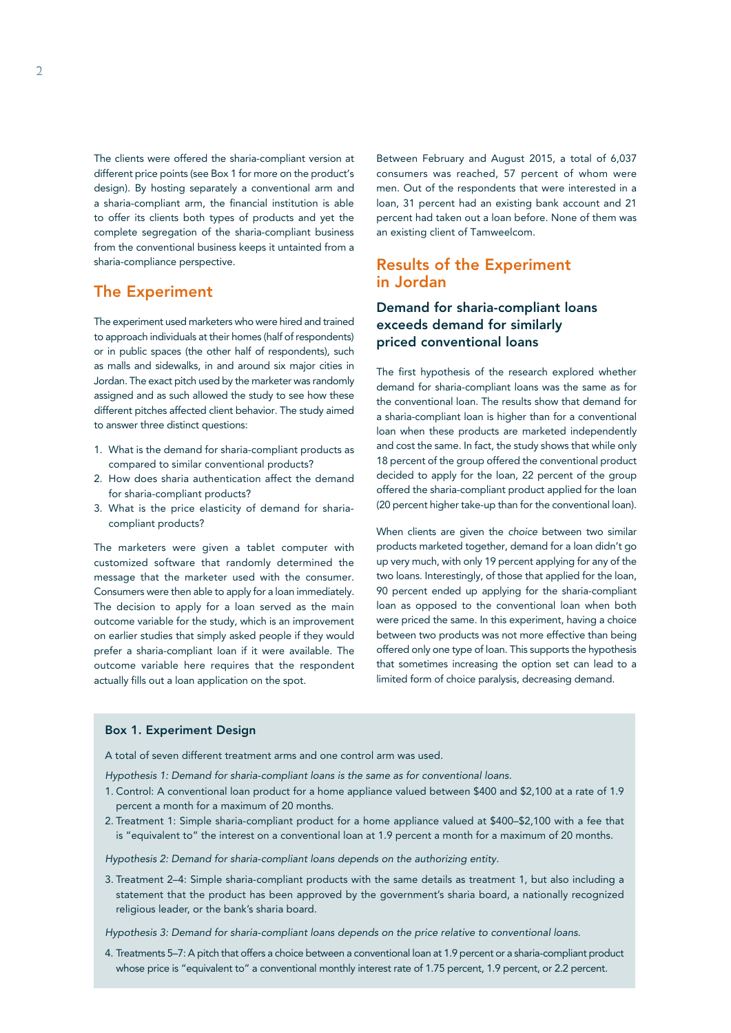The clients were offered the sharia-compliant version at different price points (see Box 1 for more on the product's design). By hosting separately a conventional arm and a sharia-compliant arm, the financial institution is able to offer its clients both types of products and yet the complete segregation of the sharia-compliant business from the conventional business keeps it untainted from a sharia-compliance perspective.

## The Experiment

The experiment used marketers who were hired and trained to approach individuals at their homes (half of respondents) or in public spaces (the other half of respondents), such as malls and sidewalks, in and around six major cities in Jordan. The exact pitch used by the marketer was randomly assigned and as such allowed the study to see how these different pitches affected client behavior. The study aimed to answer three distinct questions:

- 1. What is the demand for sharia-compliant products as compared to similar conventional products?
- 2. How does sharia authentication affect the demand for sharia-compliant products?
- 3. What is the price elasticity of demand for shariacompliant products?

The marketers were given a tablet computer with customized software that randomly determined the message that the marketer used with the consumer. Consumers were then able to apply for a loan immediately. The decision to apply for a loan served as the main outcome variable for the study, which is an improvement on earlier studies that simply asked people if they would prefer a sharia-compliant loan if it were available. The outcome variable here requires that the respondent actually fills out a loan application on the spot.

Between February and August 2015, a total of 6,037 consumers was reached, 57 percent of whom were men. Out of the respondents that were interested in a loan, 31 percent had an existing bank account and 21 percent had taken out a loan before. None of them was an existing client of Tamweelcom.

## Results of the Experiment in Jordan

## Demand for sharia-compliant loans exceeds demand for similarly priced conventional loans

The first hypothesis of the research explored whether demand for sharia-compliant loans was the same as for the conventional loan. The results show that demand for a sharia-compliant loan is higher than for a conventional loan when these products are marketed independently and cost the same. In fact, the study shows that while only 18 percent of the group offered the conventional product decided to apply for the loan, 22 percent of the group offered the sharia-compliant product applied for the loan (20 percent higher take-up than for the conventional loan).

When clients are given the *choice* between two similar products marketed together, demand for a loan didn't go up very much, with only 19 percent applying for any of the two loans. Interestingly, of those that applied for the loan, 90 percent ended up applying for the sharia-compliant loan as opposed to the conventional loan when both were priced the same. In this experiment, having a choice between two products was not more effective than being offered only one type of loan. This supports the hypothesis that sometimes increasing the option set can lead to a limited form of choice paralysis, decreasing demand.

#### Box 1. Experiment Design

A total of seven different treatment arms and one control arm was used.

- *Hypothesis 1: Demand for sharia-compliant loans is the same as for conventional loans.*
- 1. Control: A conventional loan product for a home appliance valued between \$400 and \$2,100 at a rate of 1.9 percent a month for a maximum of 20 months.
- 2. Treatment 1: Simple sharia-compliant product for a home appliance valued at \$400–\$2,100 with a fee that is "equivalent to" the interest on a conventional loan at 1.9 percent a month for a maximum of 20 months.

*Hypothesis 2: Demand for sharia-compliant loans depends on the authorizing entity.*

3. Treatment 2–4: Simple sharia-compliant products with the same details as treatment 1, but also including a statement that the product has been approved by the government's sharia board, a nationally recognized religious leader, or the bank's sharia board.

*Hypothesis 3: Demand for sharia-compliant loans depends on the price relative to conventional loans.*

4. Treatments 5–7: A pitch that offers a choice between a conventional loan at 1.9 percent or a sharia-compliant product whose price is "equivalent to" a conventional monthly interest rate of 1.75 percent, 1.9 percent, or 2.2 percent.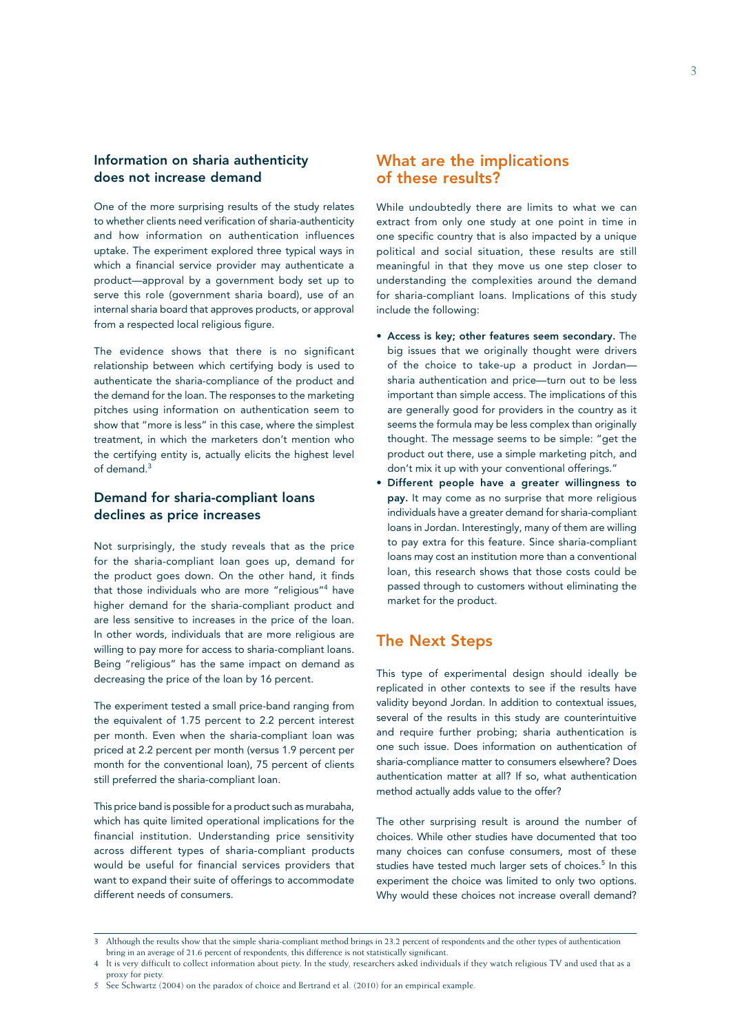## Information on sharia authenticity does not increase demand

One of the more surprising results of the study relates to whether clients need verification of sharia-authenticity and how information on authentication influences uptake. The experiment explored three typical ways in which a financial service provider may authenticate a product—approval by a government body set up to serve this role (government sharia board), use of an internal sharia board that approves products, or approval from a respected local religious figure.

The evidence shows that there is no significant relationship between which certifying body is used to authenticate the sharia-compliance of the product and the demand for the loan. The responses to the marketing pitches using information on authentication seem to show that "more is less" in this case, where the simplest treatment, in which the marketers don't mention who the certifying entity is, actually elicits the highest level of demand.<sup>3</sup>

### Demand for sharia-compliant loans declines as price increases

Not surprisingly, the study reveals that as the price for the sharia-compliant loan goes up, demand for the product goes down. On the other hand, it finds that those individuals who are more "religious"4 have higher demand for the sharia-compliant product and are less sensitive to increases in the price of the loan. In other words, individuals that are more religious are willing to pay more for access to sharia-compliant loans. Being "religious" has the same impact on demand as decreasing the price of the loan by 16 percent.

The experiment tested a small price-band ranging from the equivalent of 1.75 percent to 2.2 percent interest per month. Even when the sharia-compliant loan was priced at 2.2 percent per month (versus 1.9 percent per month for the conventional loan), 75 percent of clients still preferred the sharia-compliant loan.

This price band is possible for a product such as murabaha, which has quite limited operational implications for the financial institution. Understanding price sensitivity across different types of sharia-compliant products would be useful for financial services providers that want to expand their suite of offerings to accommodate different needs of consumers.

## What are the implications of these results?

While undoubtedly there are limits to what we can extract from only one study at one point in time in one specific country that is also impacted by a unique political and social situation, these results are still meaningful in that they move us one step closer to understanding the complexities around the demand for sharia-compliant loans. Implications of this study include the following:

- Access is key; other features seem secondary. The big issues that we originally thought were drivers of the choice to take-up a product in Jordan sharia authentication and price—turn out to be less important than simple access. The implications of this are generally good for providers in the country as it seems the formula may be less complex than originally thought. The message seems to be simple: "get the product out there, use a simple marketing pitch, and don't mix it up with your conventional offerings."
- Different people have a greater willingness to pay. It may come as no surprise that more religious individuals have a greater demand for sharia-compliant loans in Jordan. Interestingly, many of them are willing to pay extra for this feature. Since sharia-compliant loans may cost an institution more than a conventional loan, this research shows that those costs could be passed through to customers without eliminating the market for the product.

## The Next Steps

This type of experimental design should ideally be replicated in other contexts to see if the results have validity beyond Jordan. In addition to contextual issues, several of the results in this study are counterintuitive and require further probing; sharia authentication is one such issue. Does information on authentication of sharia-compliance matter to consumers elsewhere? Does authentication matter at all? If so, what authentication method actually adds value to the offer?

The other surprising result is around the number of choices. While other studies have documented that too many choices can confuse consumers, most of these studies have tested much larger sets of choices.<sup>5</sup> In this experiment the choice was limited to only two options. Why would these choices not increase overall demand?

<sup>3</sup> Although the results show that the simple sharia-compliant method brings in 23.2 percent of respondents and the other types of authentication bring in an average of 21.6 percent of respondents, this difference is not statistically significant.

<sup>4</sup> It is very difficult to collect information about piety. In the study, researchers asked individuals if they watch religious TV and used that as a proxy for piety.

<sup>5</sup> See Schwartz (2004) on the paradox of choice and Bertrand et al. (2010) for an empirical example.